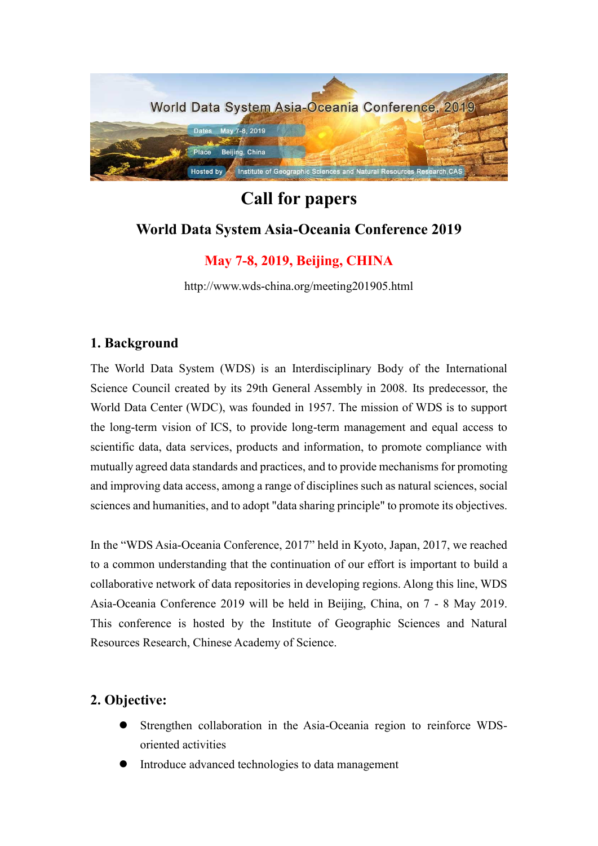

# **Call for papers World Data System Asia-Oceania Conference 2019**

# **May 7-8, 2019, Beijing, CHINA**

http://www.wds-china.org/meeting201905.html

## **1. Background**

The World Data System (WDS) is an Interdisciplinary Body of the International Science Council created by its 29th General Assembly in 2008. Its predecessor, the World Data Center (WDC), was founded in 1957. The mission of WDS is to support the long-term vision of ICS, to provide long-term management and equal access to scientific data, data services, products and information, to promote compliance with mutually agreed data standards and practices, and to provide mechanisms for promoting and improving data access, among a range of disciplines such as natural sciences, social sciences and humanities, and to adopt "data sharing principle" to promote its objectives.

In the "WDS Asia-Oceania Conference, 2017" held in Kyoto, Japan, 2017, we reached to a common understanding that the continuation of our effort is important to build a collaborative network of data repositories in developing regions. Along this line, WDS Asia-Oceania Conference 2019 will be held in Beijing, China, on 7 - 8 May 2019. This conference is hosted by the Institute of Geographic Sciences and Natural Resources Research, Chinese Academy of Science.

# **2. Objective:**

- ⚫ Strengthen collaboration in the Asia-Oceania region to reinforce WDSoriented activities
- ⚫ Introduce advanced technologies to data management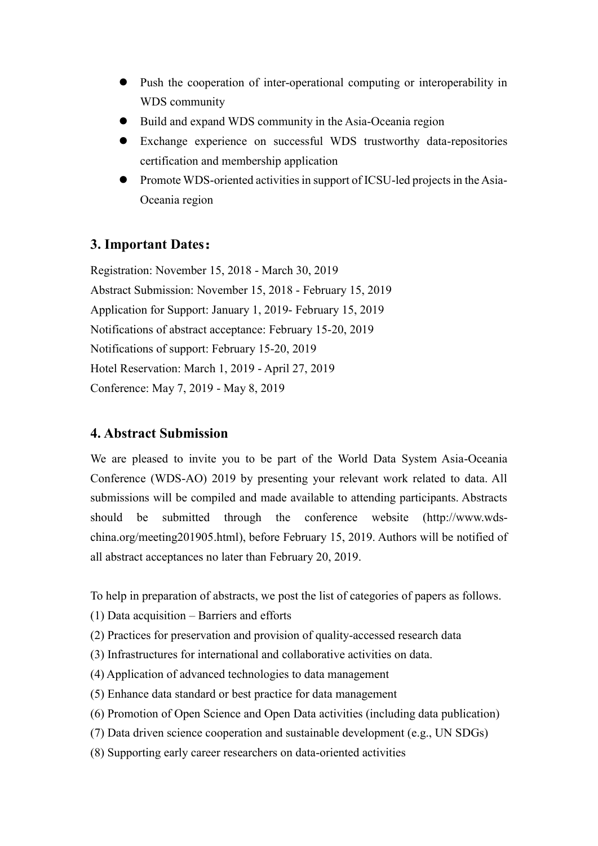- ⚫ Push the cooperation of inter-operational computing or interoperability in WDS community
- ⚫ Build and expand WDS community in the Asia-Oceania region
- ⚫ Exchange experience on successful WDS trustworthy data-repositories certification and membership application
- ⚫ Promote WDS-oriented activities in support of ICSU-led projects in the Asia-Oceania region

# **3. Important Dates:**

Registration: November 15, 2018 - March 30, 2019 Abstract Submission: November 15, 2018 - February 15, 2019 Application for Support: January 1, 2019- February 15, 2019 Notifications of abstract acceptance: February 15-20, 2019 Notifications of support: February 15-20, 2019 Hotel Reservation: March 1, 2019 - April 27, 2019 Conference: May 7, 2019 - May 8, 2019

## **4. Abstract Submission**

We are pleased to invite you to be part of the World Data System Asia-Oceania Conference (WDS-AO) 2019 by presenting your relevant work related to data. All submissions will be compiled and made available to attending participants. Abstracts should be submitted through the conference website [\(http://www.wds](http://www.wds-china.org/meeting201905.html)[china.org/meeting201905.html\)](http://www.wds-china.org/meeting201905.html), before February 15, 2019. Authors will be notified of all abstract acceptances no later than February 20, 2019.

To help in preparation of abstracts, we post the list of categories of papers as follows.

- (1) Data acquisition Barriers and efforts
- (2) Practices for preservation and provision of quality-accessed research data
- (3) Infrastructures for international and collaborative activities on data.
- (4) Application of advanced technologies to data management
- (5) Enhance data standard or best practice for data management
- (6) Promotion of Open Science and Open Data activities (including data publication)
- (7) Data driven science cooperation and sustainable development (e.g., UN SDGs)
- (8) Supporting early career researchers on data-oriented activities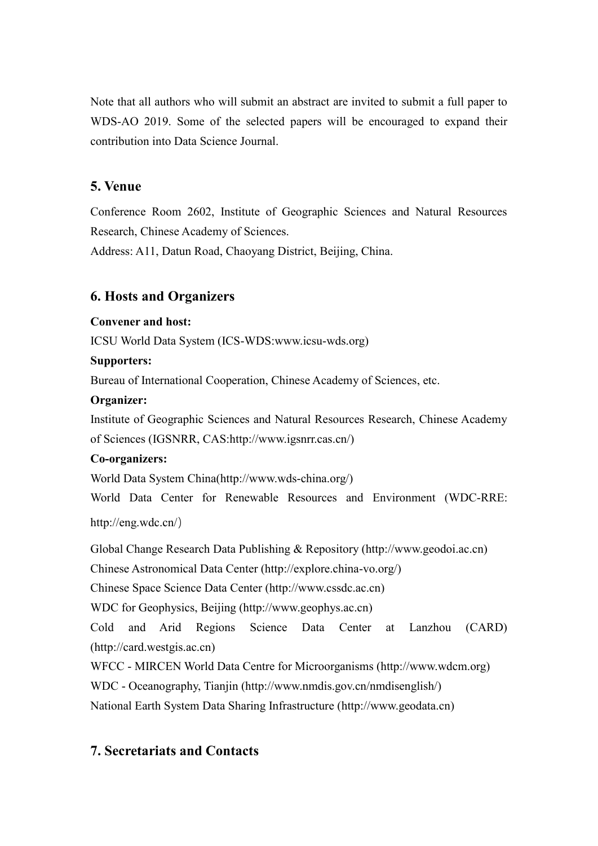Note that all authors who will submit an abstract are invited to submit a full paper to WDS-AO 2019. Some of the selected papers will be encouraged to expand their contribution into Data Science Journal.

## **5. Venue**

Conference Room 2602, Institute of Geographic Sciences and Natural Resources Research, Chinese Academy of Sciences.

Address: A11, Datun Road, Chaoyang District, Beijing, China.

### **6. Hosts and Organizers**

#### **Convener and host:**

ICSU World Data System (ICS-WDS:www.icsu-wds.org)

#### **Supporters:**

Bureau of International Cooperation, Chinese Academy of Sciences, etc.

#### **Organizer:**

Institute of Geographic Sciences and Natural Resources Research, Chinese Academy of Sciences (IGSNRR, CAS:http://www.igsnrr.cas.cn/)

#### **Co-organizers:**

World Data System China(http://www.wds-china.org/)

World Data Center for Renewable Resources and Environment (WDC-RRE: http://eng.wdc.cn/)

Global Change Research Data Publishing & Repository (http://www.geodoi.ac.cn)

Chinese Astronomical Data Center (http://explore.china-vo.org/)

Chinese Space Science Data Center (http://www.cssdc.ac.cn)

WDC for Geophysics, Beijing (http://www.geophys.ac.cn)

Cold and Arid Regions Science Data Center at Lanzhou (CARD) (http://card.westgis.ac.cn)

WFCC - MIRCEN World Data Centre for Microorganisms (http://www.wdcm.org)

WDC - Oceanography, Tianjin (http://www.nmdis.gov.cn/nmdisenglish/)

National Earth System Data Sharing Infrastructure (http://www.geodata.cn)

## **7. Secretariats and Contacts**